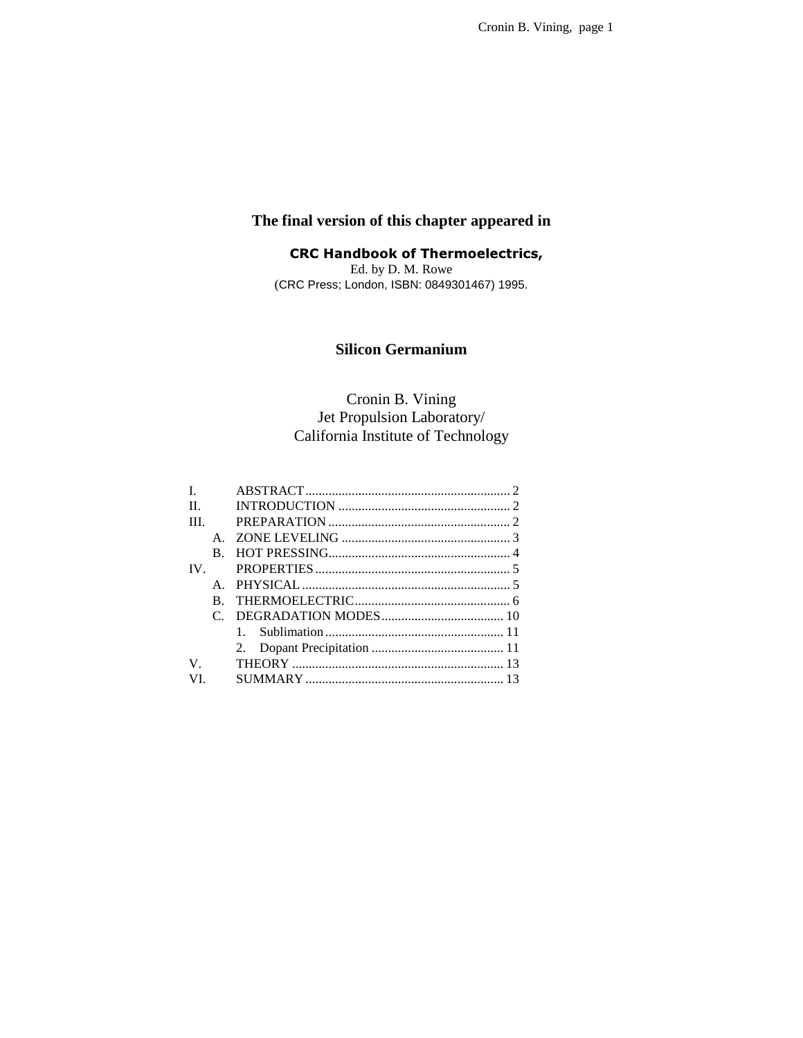## **The final version of this chapter appeared in**

**CRC Handbook of Thermoelectrics,** Ed. by D. M. Rowe (CRC Press; London, ISBN: 0849301467) 1995.

## **Silicon Germanium**

# Cronin B. Vining Jet Propulsion Laboratory/ California Institute of Technology

| L       |              |  |
|---------|--------------|--|
| $\Pi$ . |              |  |
| TH.     |              |  |
|         | $\mathsf{A}$ |  |
|         | B.           |  |
| IV.     |              |  |
|         |              |  |
|         | B.           |  |
|         |              |  |
|         |              |  |
|         |              |  |
| V       |              |  |
| VI.     |              |  |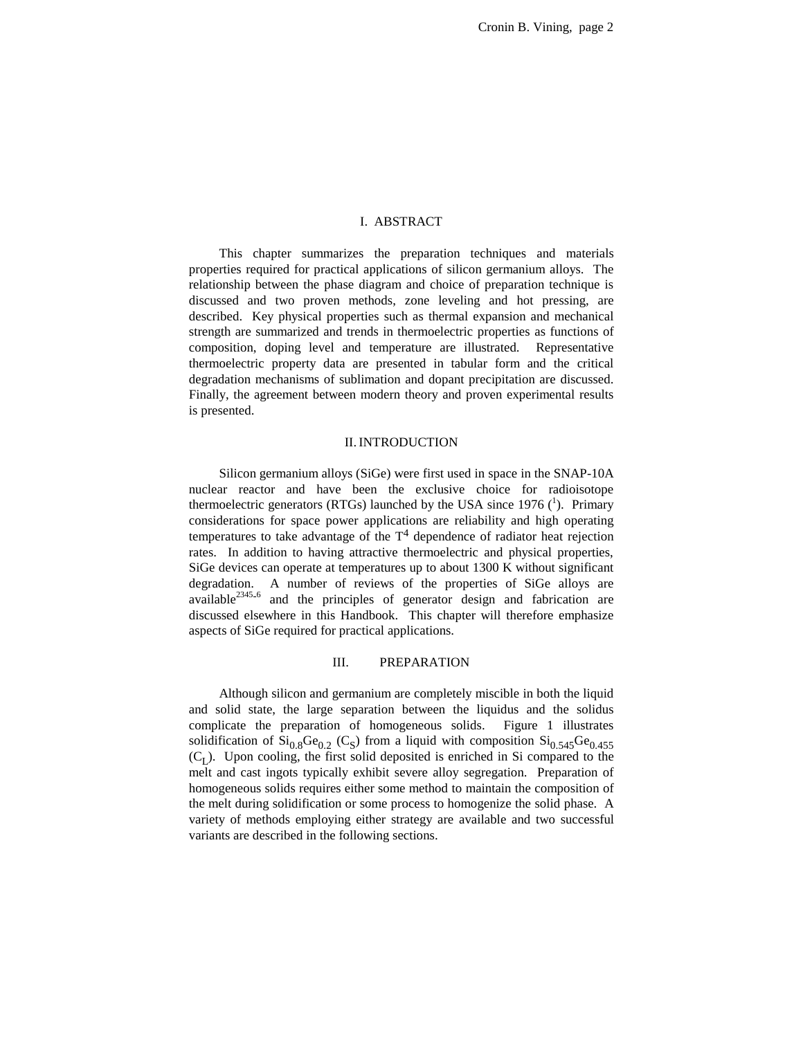#### I. ABSTRACT

This chapter summarizes the preparation techniques and materials properties required for practical applications of silicon germanium alloys. The relationship between the phase diagram and choice of preparation technique is discussed and two proven methods, zone leveling and hot pressing, are described. Key physical properties such as thermal expansion and mechanical strength are summarized and trends in thermoelectric properties as functions of composition, doping level and temperature are illustrated. Representative thermoelectric property data are presented in tabular form and the critical degradation mechanisms of sublimation and dopant precipitation are discussed. Finally, the agreement between modern theory and proven experimental results is presented.

#### II. INTRODUCTION

Silicon germanium alloys (SiGe) were first used in space in the SNAP-10A nuclear reactor and have been the exclusive choice for radioisotope thermoelectric generators (RTGs) launched by the USA since 1976  $(^1)$ . Primary considerations for space power applications are reliability and high operating temperatures to take advantage of the  $T<sup>4</sup>$  dependence of radiator heat rejection rates. In addition to having attractive thermoelectric and physical properties, SiGe devices can operate at temperatures up to about 1300 K without significant degradation. A number of reviews of the properties of SiGe alloys are available<sup>2345</sup>-6 and the principles of generator design and fabrication are discussed elsewhere in this Handbook. This chapter will therefore emphasize aspects of SiGe required for practical applications.

## III. PREPARATION

Although silicon and germanium are completely miscible in both the liquid and solid state, the large separation between the liquidus and the solidus complicate the preparation of homogeneous solids. Figure 1 illustrates solidification of  $Si<sub>0.8</sub>Ge<sub>0.2</sub> (C<sub>S</sub>)$  from a liquid with composition  $Si<sub>0.545</sub>Ge<sub>0.455</sub>$  $(C<sub>I</sub>)$ . Upon cooling, the first solid deposited is enriched in Si compared to the melt and cast ingots typically exhibit severe alloy segregation. Preparation of homogeneous solids requires either some method to maintain the composition of the melt during solidification or some process to homogenize the solid phase. A variety of methods employing either strategy are available and two successful variants are described in the following sections.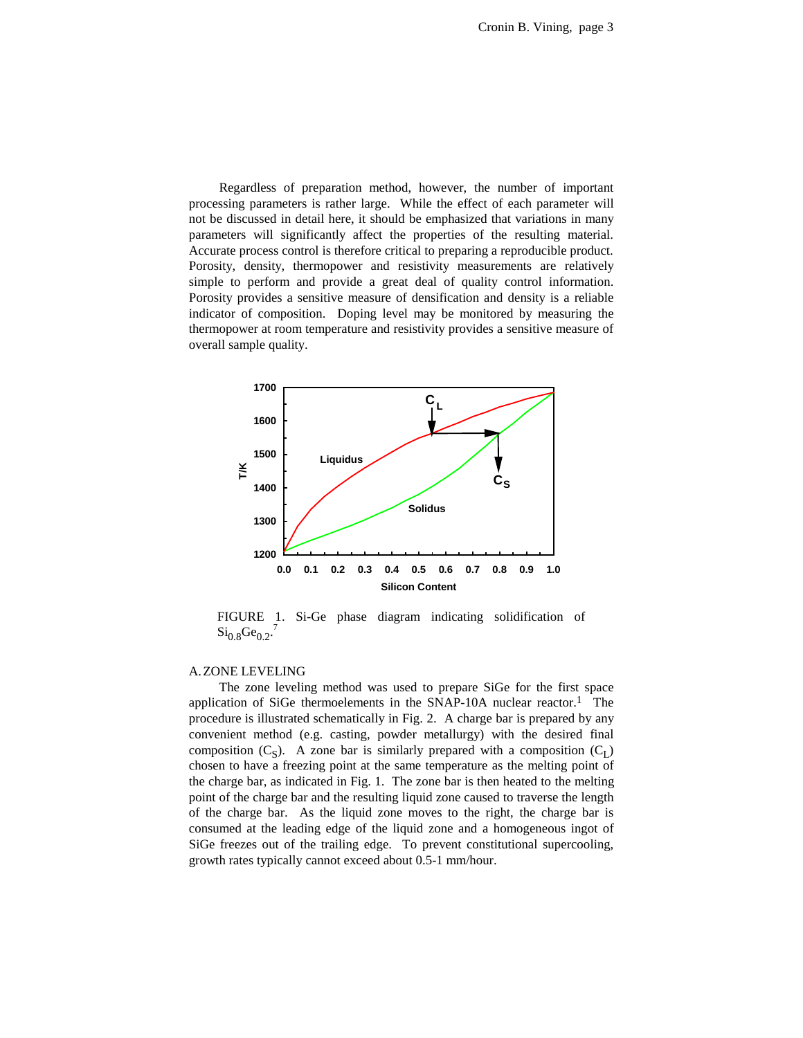Regardless of preparation method, however, the number of important processing parameters is rather large. While the effect of each parameter will not be discussed in detail here, it should be emphasized that variations in many parameters will significantly affect the properties of the resulting material. Accurate process control is therefore critical to preparing a reproducible product. Porosity, density, thermopower and resistivity measurements are relatively simple to perform and provide a great deal of quality control information. Porosity provides a sensitive measure of densification and density is a reliable indicator of composition. Doping level may be monitored by measuring the thermopower at room temperature and resistivity provides a sensitive measure of overall sample quality.



FIGURE 1. Si-Ge phase diagram indicating solidification of  $\text{Si}_{0.8}\text{Ge}_{0.2}$ .<sup>7</sup>

#### A.ZONE LEVELING

The zone leveling method was used to prepare SiGe for the first space application of SiGe thermoelements in the SNAP-10A nuclear reactor.<sup>1</sup> The procedure is illustrated schematically in Fig. 2. A charge bar is prepared by any convenient method (e.g. casting, powder metallurgy) with the desired final composition  $(C_S)$ . A zone bar is similarly prepared with a composition  $(C_I)$ chosen to have a freezing point at the same temperature as the melting point of the charge bar, as indicated in Fig. 1. The zone bar is then heated to the melting point of the charge bar and the resulting liquid zone caused to traverse the length of the charge bar. As the liquid zone moves to the right, the charge bar is consumed at the leading edge of the liquid zone and a homogeneous ingot of SiGe freezes out of the trailing edge. To prevent constitutional supercooling, growth rates typically cannot exceed about 0.5-1 mm/hour.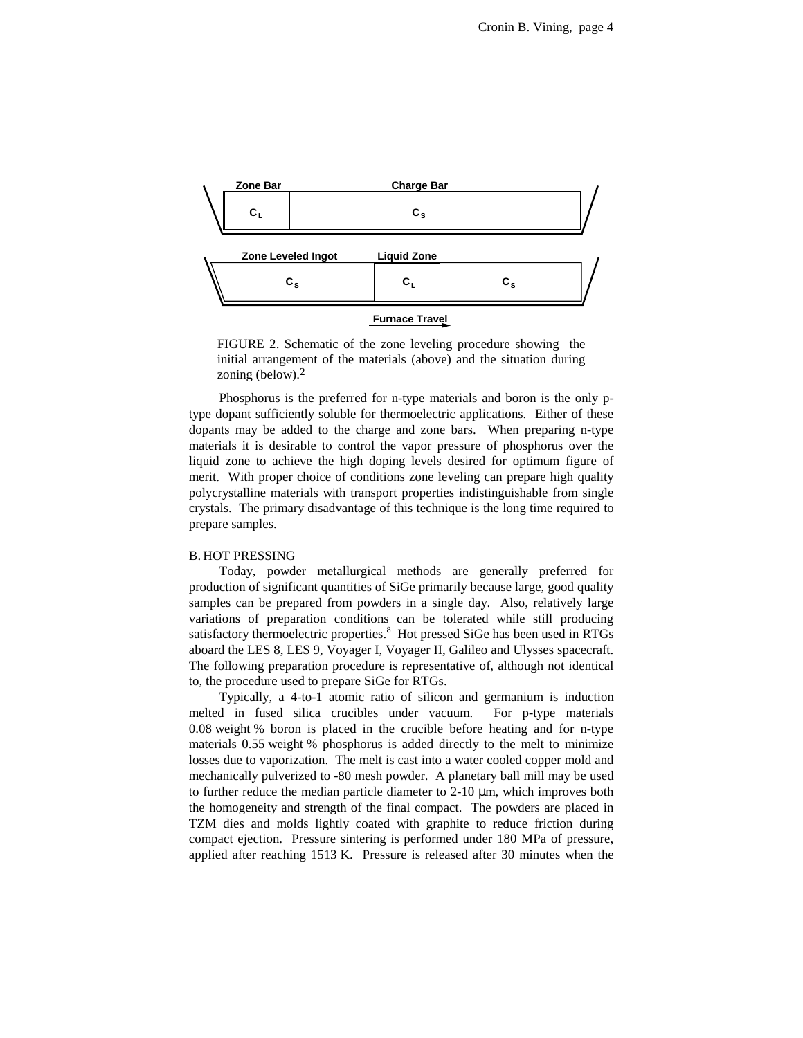

FIGURE 2. Schematic of the zone leveling procedure showing the initial arrangement of the materials (above) and the situation during zoning (below).2

Phosphorus is the preferred for n-type materials and boron is the only ptype dopant sufficiently soluble for thermoelectric applications. Either of these dopants may be added to the charge and zone bars. When preparing n-type materials it is desirable to control the vapor pressure of phosphorus over the liquid zone to achieve the high doping levels desired for optimum figure of merit. With proper choice of conditions zone leveling can prepare high quality polycrystalline materials with transport properties indistinguishable from single crystals. The primary disadvantage of this technique is the long time required to prepare samples.

#### B. HOT PRESSING

Today, powder metallurgical methods are generally preferred for production of significant quantities of SiGe primarily because large, good quality samples can be prepared from powders in a single day. Also, relatively large variations of preparation conditions can be tolerated while still producing satisfactory thermoelectric properties.<sup>8</sup> Hot pressed SiGe has been used in RTGs aboard the LES 8, LES 9, Voyager I, Voyager II, Galileo and Ulysses spacecraft. The following preparation procedure is representative of, although not identical to, the procedure used to prepare SiGe for RTGs.

Typically, a 4-to-1 atomic ratio of silicon and germanium is induction melted in fused silica crucibles under vacuum. For p-type materials 0.08 weight % boron is placed in the crucible before heating and for n-type materials 0.55 weight % phosphorus is added directly to the melt to minimize losses due to vaporization. The melt is cast into a water cooled copper mold and mechanically pulverized to -80 mesh powder. A planetary ball mill may be used to further reduce the median particle diameter to 2-10 µm, which improves both the homogeneity and strength of the final compact. The powders are placed in TZM dies and molds lightly coated with graphite to reduce friction during compact ejection. Pressure sintering is performed under 180 MPa of pressure, applied after reaching 1513 K. Pressure is released after 30 minutes when the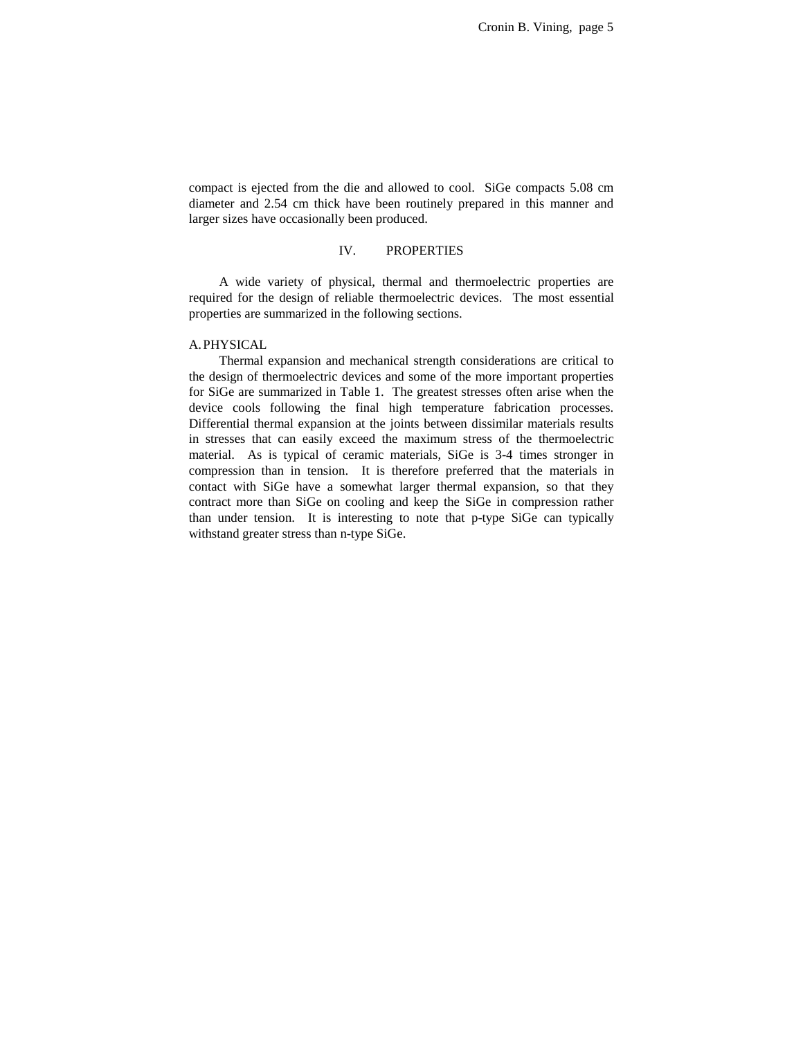compact is ejected from the die and allowed to cool. SiGe compacts 5.08 cm diameter and 2.54 cm thick have been routinely prepared in this manner and larger sizes have occasionally been produced.

#### IV. PROPERTIES

A wide variety of physical, thermal and thermoelectric properties are required for the design of reliable thermoelectric devices. The most essential properties are summarized in the following sections.

### A.PHYSICAL

Thermal expansion and mechanical strength considerations are critical to the design of thermoelectric devices and some of the more important properties for SiGe are summarized in Table 1. The greatest stresses often arise when the device cools following the final high temperature fabrication processes. Differential thermal expansion at the joints between dissimilar materials results in stresses that can easily exceed the maximum stress of the thermoelectric material. As is typical of ceramic materials, SiGe is 3-4 times stronger in compression than in tension. It is therefore preferred that the materials in contact with SiGe have a somewhat larger thermal expansion, so that they contract more than SiGe on cooling and keep the SiGe in compression rather than under tension. It is interesting to note that p-type SiGe can typically withstand greater stress than n-type SiGe.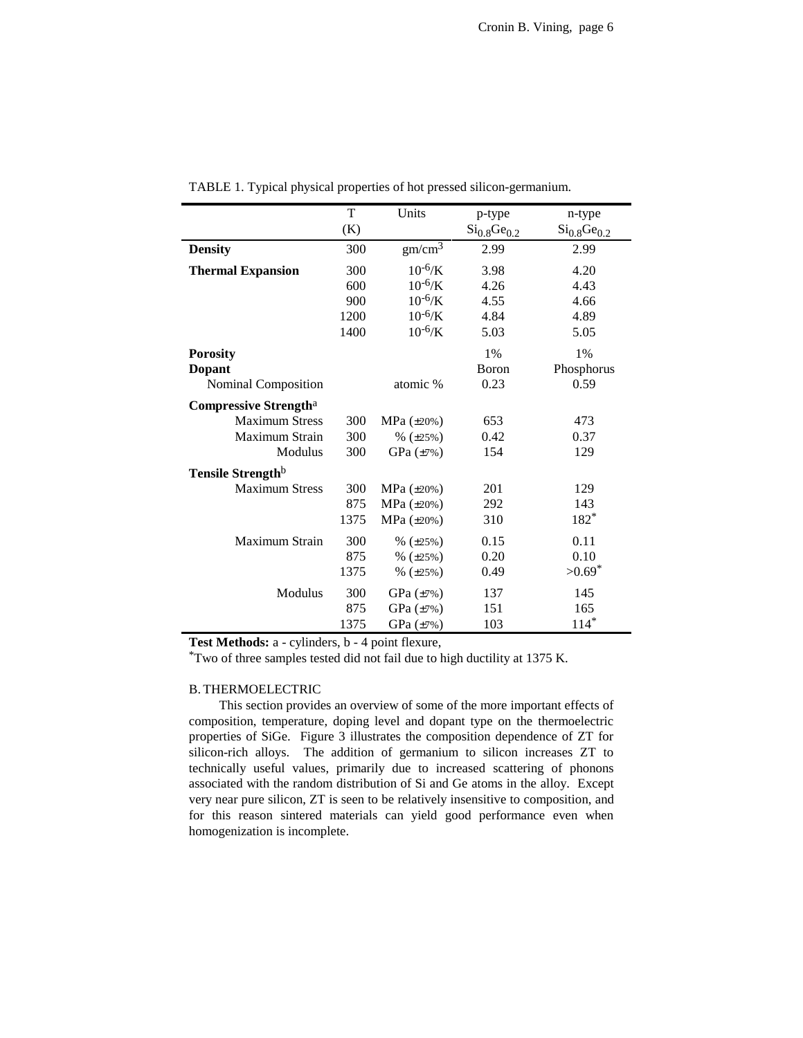|                              | T    | Units              | p-type             | n-type               |
|------------------------------|------|--------------------|--------------------|----------------------|
|                              | (K)  |                    | $Si_{0.8}Ge_{0.2}$ | $Si_{0.8}Ge_{0.2}$   |
| <b>Density</b>               | 300  | gm/cm <sup>3</sup> | 2.99               | 2.99                 |
| <b>Thermal Expansion</b>     | 300  | $10^{-6}$ /K       | 3.98               | 4.20                 |
|                              | 600  | $10^{-6}$ /K       | 4.26               | 4.43                 |
|                              | 900  | $10^{-6}$ /K       | 4.55               | 4.66                 |
|                              | 1200 | $10^{-6}$ /K       | 4.84               | 4.89                 |
|                              | 1400 | $10^{-6}$ /K       | 5.03               | 5.05                 |
| <b>Porosity</b>              |      |                    | 1%                 | 1%                   |
| <b>Dopant</b>                |      |                    | Boron              | Phosphorus           |
| Nominal Composition          |      | atomic %           | 0.23               | 0.59                 |
| <b>Compressive Strengtha</b> |      |                    |                    |                      |
| <b>Maximum Stress</b>        | 300  | $MPa (\pm 20\%)$   | 653                | 473                  |
| Maximum Strain               | 300  | $% (\pm 25%)$      | 0.42               | 0.37                 |
| Modulus                      | 300  | GPa $(\pm 7\%)$    | 154                | 129                  |
| <b>Tensile Strength</b>      |      |                    |                    |                      |
| <b>Maximum Stress</b>        | 300  | MPa $(\pm 20\%)$   | 201                | 129                  |
|                              | 875  | MPa $(\pm 20\%)$   | 292                | 143                  |
|                              | 1375 | $MPa (\pm 20\%)$   | 310                | 182*                 |
| Maximum Strain               | 300  | $% (\pm 25%)$      | 0.15               | 0.11                 |
|                              | 875  | $% (\pm 25%)$      | 0.20               | 0.10                 |
|                              | 1375 | $% (\pm 25%)$      | 0.49               | $>0.69$ <sup>*</sup> |
| Modulus                      | 300  | GPa (±7%)          | 137                | 145                  |
|                              | 875  | GPa (±7%)          | 151                | 165                  |
|                              | 1375 | GPa (±7%)          | 103                | $114*$               |

TABLE 1. Typical physical properties of hot pressed silicon-germanium.

**Test Methods:** a - cylinders, b - 4 point flexure,

\*Two of three samples tested did not fail due to high ductility at 1375 K.

#### B. THERMOELECTRIC

This section provides an overview of some of the more important effects of composition, temperature, doping level and dopant type on the thermoelectric properties of SiGe. Figure 3 illustrates the composition dependence of ZT for silicon-rich alloys. The addition of germanium to silicon increases ZT to technically useful values, primarily due to increased scattering of phonons associated with the random distribution of Si and Ge atoms in the alloy. Except very near pure silicon, ZT is seen to be relatively insensitive to composition, and for this reason sintered materials can yield good performance even when homogenization is incomplete.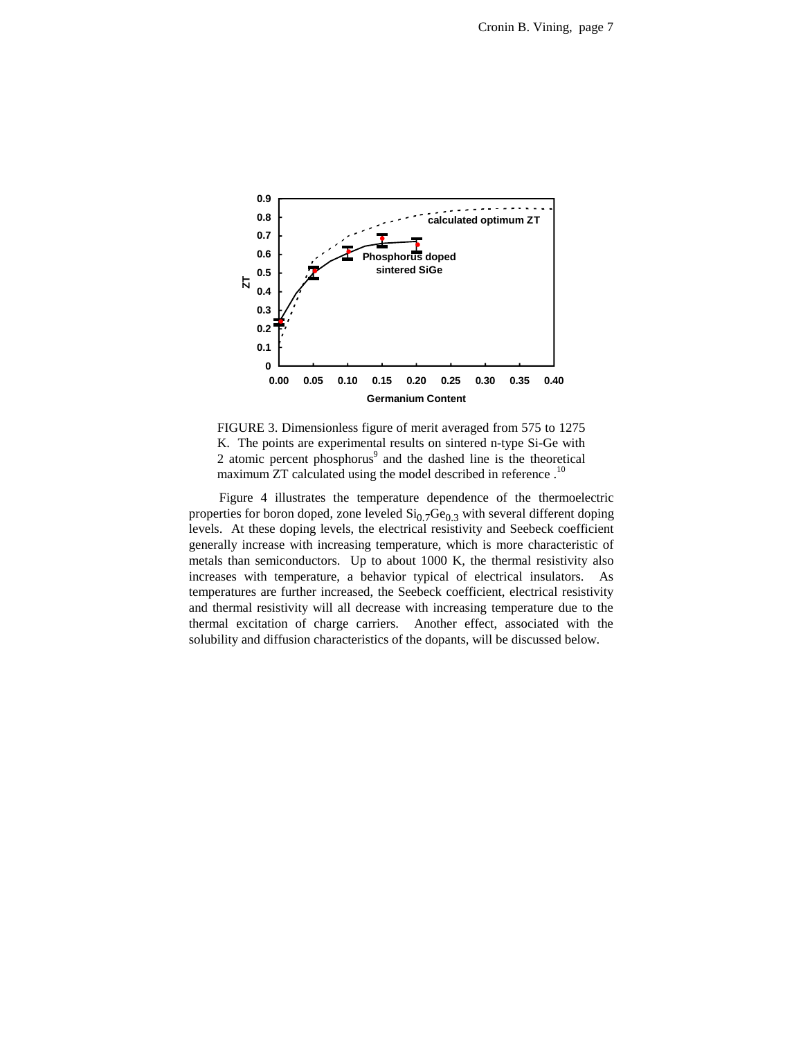

FIGURE 3. Dimensionless figure of merit averaged from 575 to 1275 K. The points are experimental results on sintered n-type Si-Ge with 2 atomic percent phosphorus<sup>9</sup> and the dashed line is the theoretical maximum ZT calculated using the model described in reference.<sup>10</sup>

Figure 4 illustrates the temperature dependence of the thermoelectric properties for boron doped, zone leveled  $\mathrm{Si}_{0.7}\mathrm{Ge}_{0.3}$  with several different doping levels. At these doping levels, the electrical resistivity and Seebeck coefficient generally increase with increasing temperature, which is more characteristic of metals than semiconductors. Up to about 1000 K, the thermal resistivity also increases with temperature, a behavior typical of electrical insulators. As temperatures are further increased, the Seebeck coefficient, electrical resistivity and thermal resistivity will all decrease with increasing temperature due to the thermal excitation of charge carriers. Another effect, associated with the solubility and diffusion characteristics of the dopants, will be discussed below.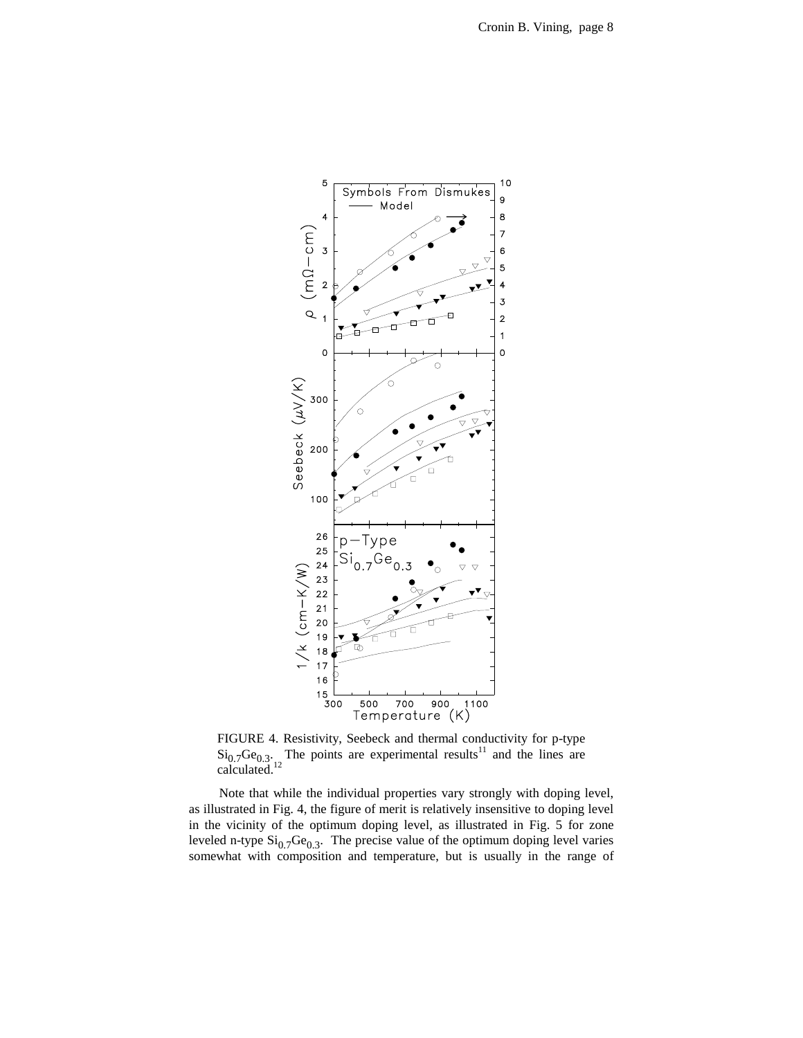

FIGURE 4. Resistivity, Seebeck and thermal conductivity for p-type  $\text{Si}_{0.7}\text{Ge}_{0.3}$ . The points are experimental results<sup>11</sup> and the lines are calculated. $12$ 

Note that while the individual properties vary strongly with doping level, as illustrated in Fig. 4, the figure of merit is relatively insensitive to doping level in the vicinity of the optimum doping level, as illustrated in Fig. 5 for zone leveled n-type  $\mathrm{Si}_{0.7}\mathrm{Ge}_{0.3}$ . The precise value of the optimum doping level varies somewhat with composition and temperature, but is usually in the range of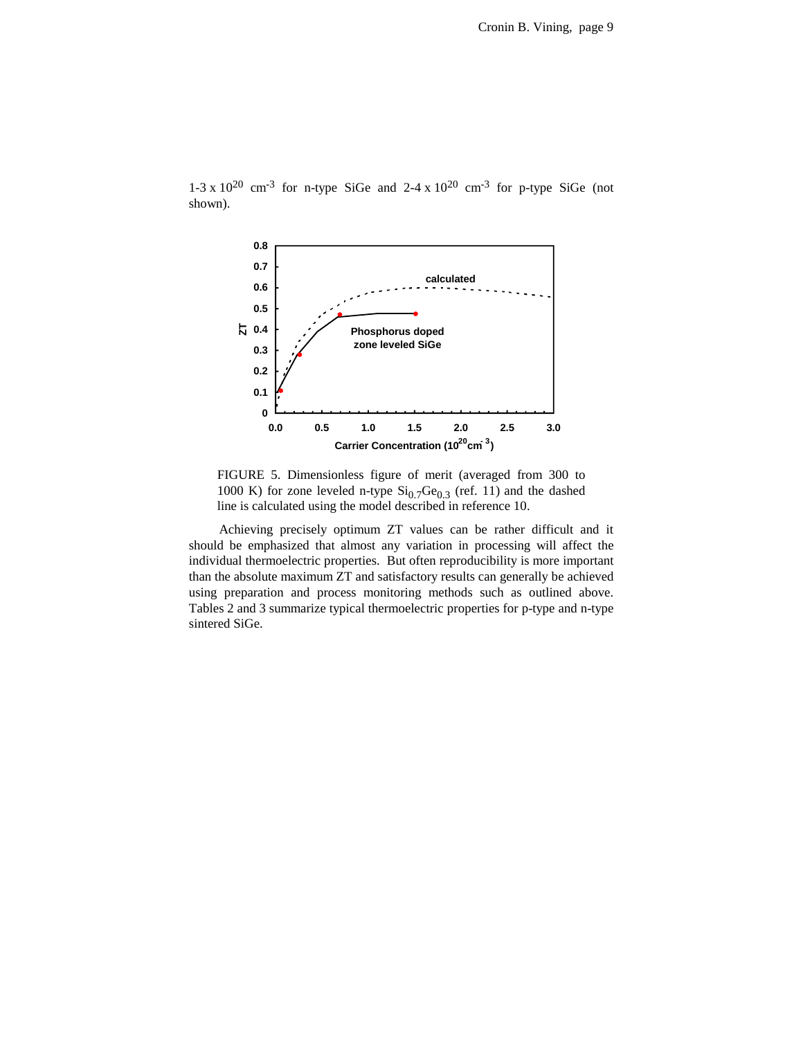

1-3 x  $10^{20}$  cm<sup>-3</sup> for n-type SiGe and 2-4 x  $10^{20}$  cm<sup>-3</sup> for p-type SiGe (not shown).

FIGURE 5. Dimensionless figure of merit (averaged from 300 to 1000 K) for zone leveled n-type  $\mathrm{Si}_{0.7}\mathrm{Ge}_{0.3}$  (ref. 11) and the dashed line is calculated using the model described in reference 10.

Achieving precisely optimum ZT values can be rather difficult and it should be emphasized that almost any variation in processing will affect the individual thermoelectric properties. But often reproducibility is more important than the absolute maximum ZT and satisfactory results can generally be achieved using preparation and process monitoring methods such as outlined above. Tables 2 and 3 summarize typical thermoelectric properties for p-type and n-type sintered SiGe.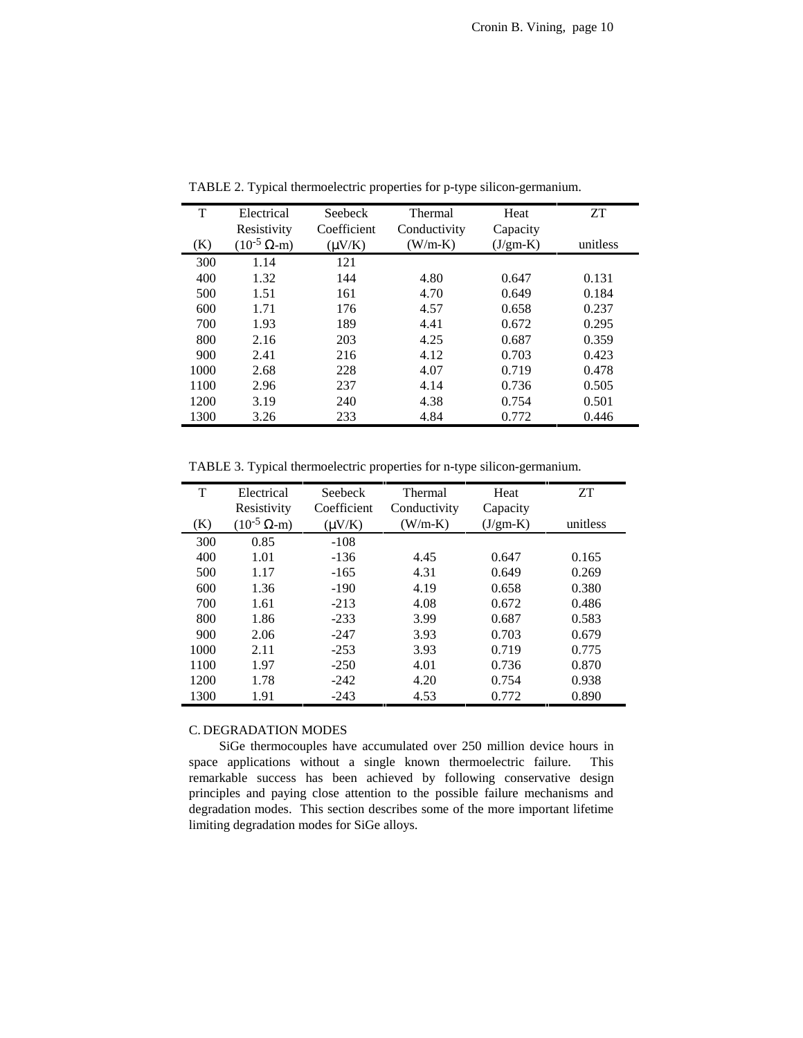| T    | Electrical             | Seebeck     | Thermal      | Heat       | <b>ZT</b> |
|------|------------------------|-------------|--------------|------------|-----------|
|      | Resistivity            | Coefficient | Conductivity | Capacity   |           |
| (K)  | $(10^{-5} \Omega - m)$ | $(\mu V/K)$ | $(W/m-K)$    | $(J/gm-K)$ | unitless  |
| 300  | 1.14                   | 121         |              |            |           |
| 400  | 1.32                   | 144         | 4.80         | 0.647      | 0.131     |
| 500  | 1.51                   | 161         | 4.70         | 0.649      | 0.184     |
| 600  | 1.71                   | 176         | 4.57         | 0.658      | 0.237     |
| 700  | 1.93                   | 189         | 4.41         | 0.672      | 0.295     |
| 800  | 2.16                   | 203         | 4.25         | 0.687      | 0.359     |
| 900  | 2.41                   | 216         | 4.12         | 0.703      | 0.423     |
| 1000 | 2.68                   | 228         | 4.07         | 0.719      | 0.478     |
| 1100 | 2.96                   | 237         | 4.14         | 0.736      | 0.505     |
| 1200 | 3.19                   | 240         | 4.38         | 0.754      | 0.501     |
| 1300 | 3.26                   | 233         | 4.84         | 0.772      | 0.446     |

TABLE 2. Typical thermoelectric properties for p-type silicon-germanium.

TABLE 3. Typical thermoelectric properties for n-type silicon-germanium.

| т    | Electrical             | Seebeck     | <b>Thermal</b> | Heat       | <b>ZT</b> |
|------|------------------------|-------------|----------------|------------|-----------|
|      | Resistivity            | Coefficient | Conductivity   | Capacity   |           |
| (K)  | $(10^{-5} \Omega - m)$ | $(\mu V/K)$ | $(W/m-K)$      | $(J/gm-K)$ | unitless  |
| 300  | 0.85                   | $-108$      |                |            |           |
| 400  | 1.01                   | $-136$      | 4.45           | 0.647      | 0.165     |
| 500  | 1.17                   | $-165$      | 4.31           | 0.649      | 0.269     |
| 600  | 1.36                   | $-190$      | 4.19           | 0.658      | 0.380     |
| 700  | 1.61                   | $-213$      | 4.08           | 0.672      | 0.486     |
| 800  | 1.86                   | $-233$      | 3.99           | 0.687      | 0.583     |
| 900  | 2.06                   | $-247$      | 3.93           | 0.703      | 0.679     |
| 1000 | 2.11                   | $-253$      | 3.93           | 0.719      | 0.775     |
| 1100 | 1.97                   | $-250$      | 4.01           | 0.736      | 0.870     |
| 1200 | 1.78                   | $-242$      | 4.20           | 0.754      | 0.938     |
| 1300 | 1.91                   | $-243$      | 4.53           | 0.772      | 0.890     |

## C. DEGRADATION MODES

SiGe thermocouples have accumulated over 250 million device hours in space applications without a single known thermoelectric failure. This remarkable success has been achieved by following conservative design principles and paying close attention to the possible failure mechanisms and degradation modes. This section describes some of the more important lifetime limiting degradation modes for SiGe alloys.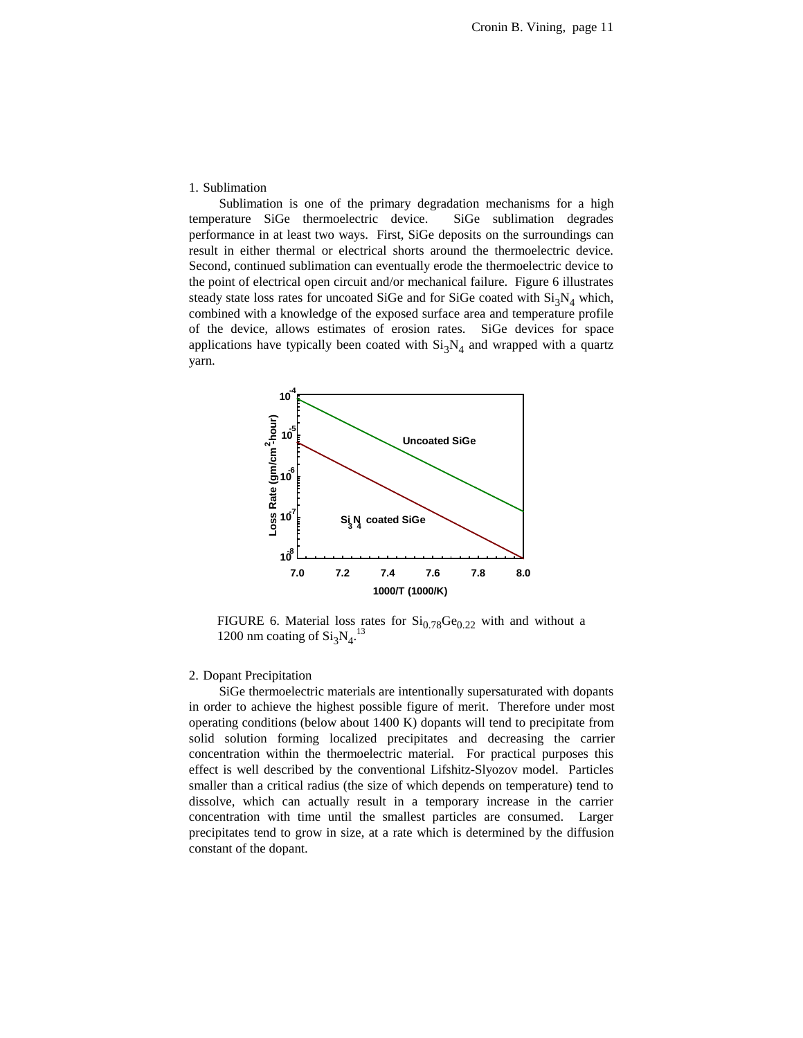#### 1. Sublimation

Sublimation is one of the primary degradation mechanisms for a high temperature SiGe thermoelectric device. SiGe sublimation degrades performance in at least two ways. First, SiGe deposits on the surroundings can result in either thermal or electrical shorts around the thermoelectric device. Second, continued sublimation can eventually erode the thermoelectric device to the point of electrical open circuit and/or mechanical failure. Figure 6 illustrates steady state loss rates for uncoated SiGe and for SiGe coated with  $Si<sub>3</sub>N<sub>4</sub>$  which, combined with a knowledge of the exposed surface area and temperature profile of the device, allows estimates of erosion rates. SiGe devices for space applications have typically been coated with  $Si<sub>3</sub>N<sub>4</sub>$  and wrapped with a quartz yarn.



FIGURE 6. Material loss rates for  $Si_{0.78}Ge_{0.22}$  with and without a 1200 nm coating of  $Si<sub>3</sub>N<sub>4</sub>$ .<sup>13</sup>

#### 2. Dopant Precipitation

SiGe thermoelectric materials are intentionally supersaturated with dopants in order to achieve the highest possible figure of merit. Therefore under most operating conditions (below about 1400 K) dopants will tend to precipitate from solid solution forming localized precipitates and decreasing the carrier concentration within the thermoelectric material. For practical purposes this effect is well described by the conventional Lifshitz-Slyozov model. Particles smaller than a critical radius (the size of which depends on temperature) tend to dissolve, which can actually result in a temporary increase in the carrier concentration with time until the smallest particles are consumed. Larger precipitates tend to grow in size, at a rate which is determined by the diffusion constant of the dopant.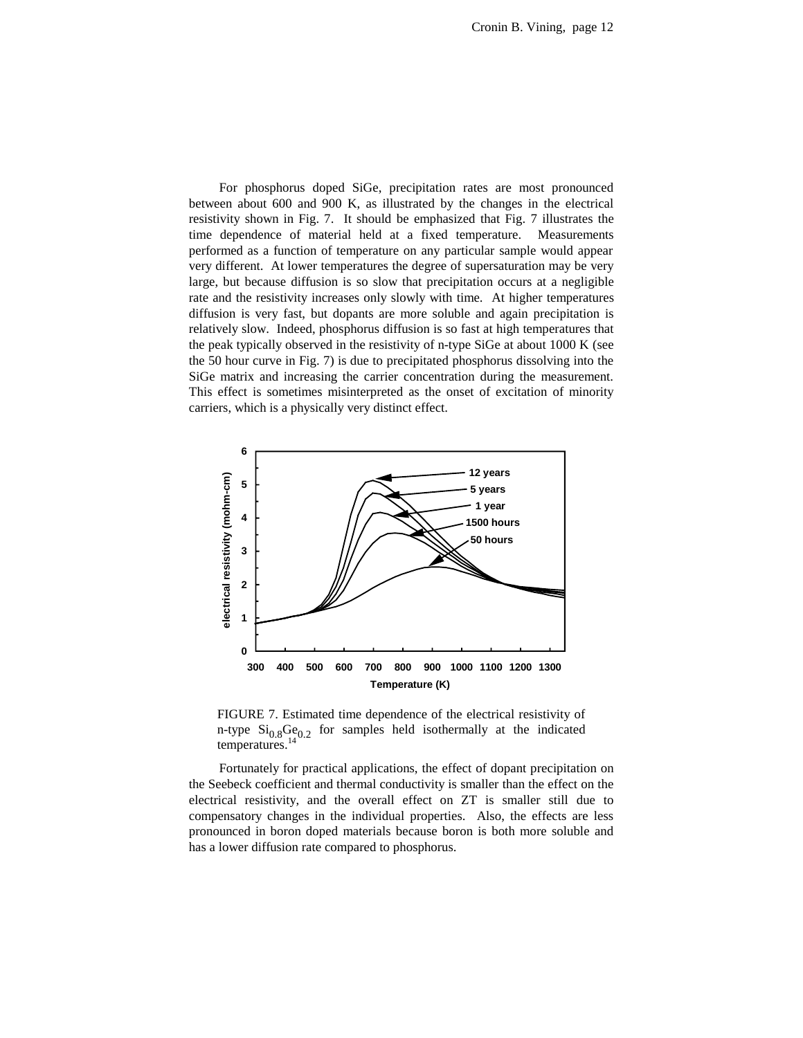For phosphorus doped SiGe, precipitation rates are most pronounced between about 600 and 900 K, as illustrated by the changes in the electrical resistivity shown in Fig. 7. It should be emphasized that Fig. 7 illustrates the time dependence of material held at a fixed temperature. Measurements performed as a function of temperature on any particular sample would appear very different. At lower temperatures the degree of supersaturation may be very large, but because diffusion is so slow that precipitation occurs at a negligible rate and the resistivity increases only slowly with time. At higher temperatures diffusion is very fast, but dopants are more soluble and again precipitation is relatively slow. Indeed, phosphorus diffusion is so fast at high temperatures that the peak typically observed in the resistivity of n-type SiGe at about 1000 K (see the 50 hour curve in Fig. 7) is due to precipitated phosphorus dissolving into the SiGe matrix and increasing the carrier concentration during the measurement. This effect is sometimes misinterpreted as the onset of excitation of minority carriers, which is a physically very distinct effect.



FIGURE 7. Estimated time dependence of the electrical resistivity of n-type  $Si<sub>0.8</sub>Ge<sub>0.2</sub>$  for samples held isothermally at the indicated temperatures.<sup>14</sup>

Fortunately for practical applications, the effect of dopant precipitation on the Seebeck coefficient and thermal conductivity is smaller than the effect on the electrical resistivity, and the overall effect on ZT is smaller still due to compensatory changes in the individual properties. Also, the effects are less pronounced in boron doped materials because boron is both more soluble and has a lower diffusion rate compared to phosphorus.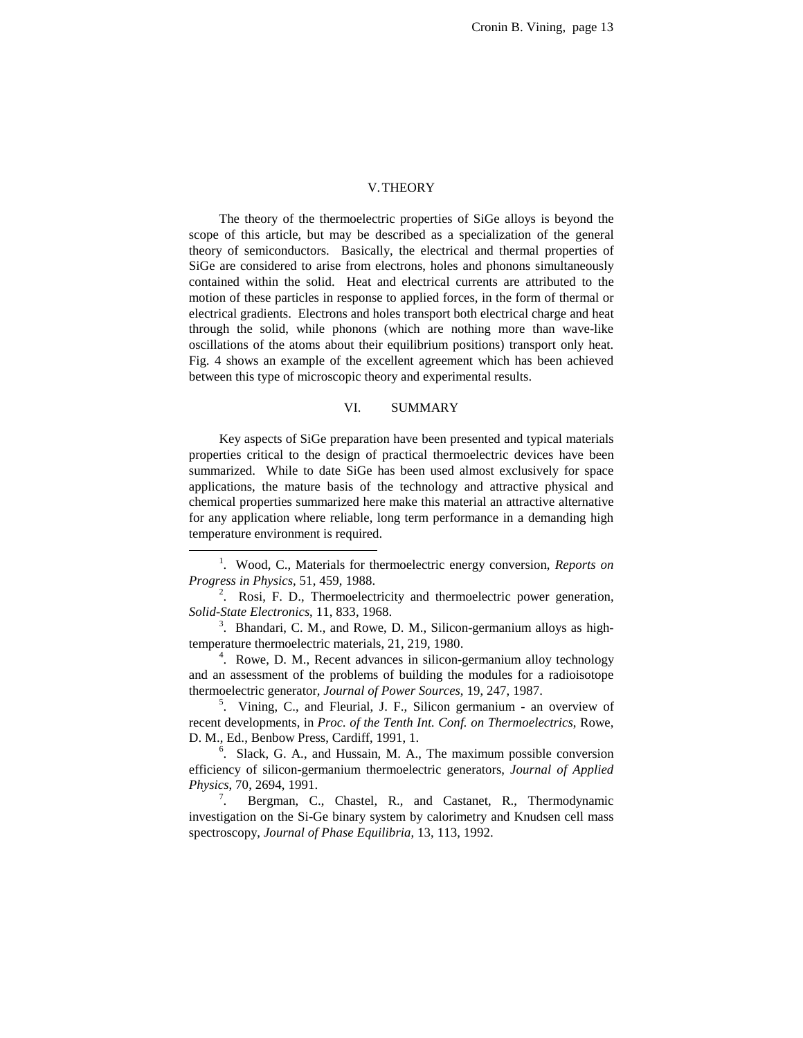#### V.THEORY

The theory of the thermoelectric properties of SiGe alloys is beyond the scope of this article, but may be described as a specialization of the general theory of semiconductors. Basically, the electrical and thermal properties of SiGe are considered to arise from electrons, holes and phonons simultaneously contained within the solid. Heat and electrical currents are attributed to the motion of these particles in response to applied forces, in the form of thermal or electrical gradients. Electrons and holes transport both electrical charge and heat through the solid, while phonons (which are nothing more than wave-like oscillations of the atoms about their equilibrium positions) transport only heat. Fig. 4 shows an example of the excellent agreement which has been achieved between this type of microscopic theory and experimental results.

#### VI. SUMMARY

Key aspects of SiGe preparation have been presented and typical materials properties critical to the design of practical thermoelectric devices have been summarized. While to date SiGe has been used almost exclusively for space applications, the mature basis of the technology and attractive physical and chemical properties summarized here make this material an attractive alternative for any application where reliable, long term performance in a demanding high temperature environment is required.

 $\frac{1}{1}$ . Wood, C., Materials for thermoelectric energy conversion, *Reports on Progress in Physics*, 51, 459, 1988.

<sup>&</sup>lt;sup>2</sup>. Rosi, F. D., Thermoelectricity and thermoelectric power generation, *Solid-State Electronics*, 11, 833, 1968.

<sup>&</sup>lt;sup>3</sup>. Bhandari, C. M., and Rowe, D. M., Silicon-germanium alloys as hightemperature thermoelectric materials, 21, 219, 1980.

<sup>&</sup>lt;sup>4</sup>. Rowe, D. M., Recent advances in silicon-germanium alloy technology and an assessment of the problems of building the modules for a radioisotope thermoelectric generator, *Journal of Power Sources*, 19, 247, 1987.

<sup>&</sup>lt;sup>5</sup>. Vining, C., and Fleurial, J. F., Silicon germanium - an overview of recent developments, in *Proc. of the Tenth Int. Conf. on Thermoelectrics*, Rowe, D. M., Ed., Benbow Press, Cardiff, 1991, 1.

<sup>&</sup>lt;sup>6</sup>. Slack, G. A., and Hussain, M. A., The maximum possible conversion efficiency of silicon-germanium thermoelectric generators, *Journal of Applied Physics*, 70, 2694, 1991.

<sup>7</sup> . Bergman, C., Chastel, R., and Castanet, R., Thermodynamic investigation on the Si-Ge binary system by calorimetry and Knudsen cell mass spectroscopy, *Journal of Phase Equilibria*, 13, 113, 1992.